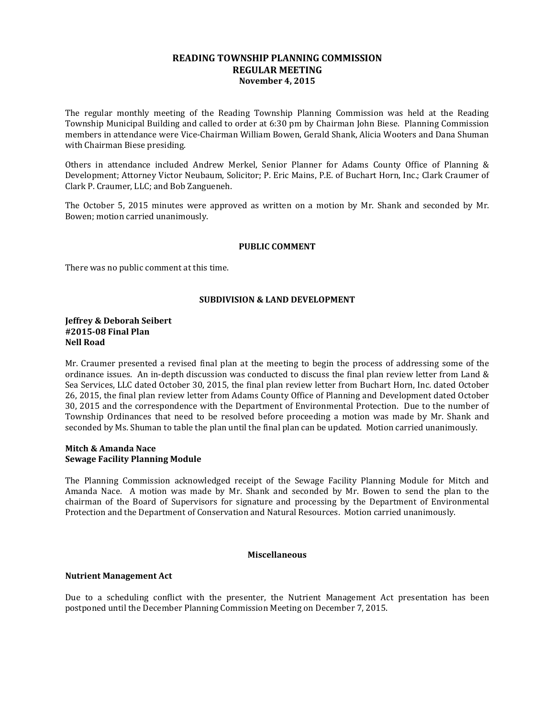## **READING TOWNSHIP PLANNING COMMISSION REGULAR MEETING November 4, 2015**

The regular monthly meeting of the Reading Township Planning Commission was held at the Reading Township Municipal Building and called to order at 6:30 pm by Chairman John Biese. Planning Commission members in attendance were Vice-Chairman William Bowen, Gerald Shank, Alicia Wooters and Dana Shuman with Chairman Biese presiding.

Others in attendance included Andrew Merkel, Senior Planner for Adams County Office of Planning & Development; Attorney Victor Neubaum, Solicitor; P. Eric Mains, P.E. of Buchart Horn, Inc.; Clark Craumer of Clark P. Craumer, LLC; and Bob Zangueneh.

The October 5, 2015 minutes were approved as written on a motion by Mr. Shank and seconded by Mr. Bowen; motion carried unanimously.

#### **PUBLIC COMMENT**

There was no public comment at this time.

## **SUBDIVISION & LAND DEVELOPMENT**

#### **Jeffrey & Deborah Seibert #2015-08 Final Plan Nell Road**

Mr. Craumer presented a revised final plan at the meeting to begin the process of addressing some of the ordinance issues. An in-depth discussion was conducted to discuss the final plan review letter from Land & Sea Services, LLC dated October 30, 2015, the final plan review letter from Buchart Horn, Inc. dated October 26, 2015, the final plan review letter from Adams County Office of Planning and Development dated October 30, 2015 and the correspondence with the Department of Environmental Protection. Due to the number of Township Ordinances that need to be resolved before proceeding a motion was made by Mr. Shank and seconded by Ms. Shuman to table the plan until the final plan can be updated. Motion carried unanimously.

#### **Mitch & Amanda Nace Sewage Facility Planning Module**

The Planning Commission acknowledged receipt of the Sewage Facility Planning Module for Mitch and Amanda Nace. A motion was made by Mr. Shank and seconded by Mr. Bowen to send the plan to the chairman of the Board of Supervisors for signature and processing by the Department of Environmental Protection and the Department of Conservation and Natural Resources. Motion carried unanimously.

## **Miscellaneous**

## **Nutrient Management Act**

Due to a scheduling conflict with the presenter, the Nutrient Management Act presentation has been postponed until the December Planning Commission Meeting on December 7, 2015.